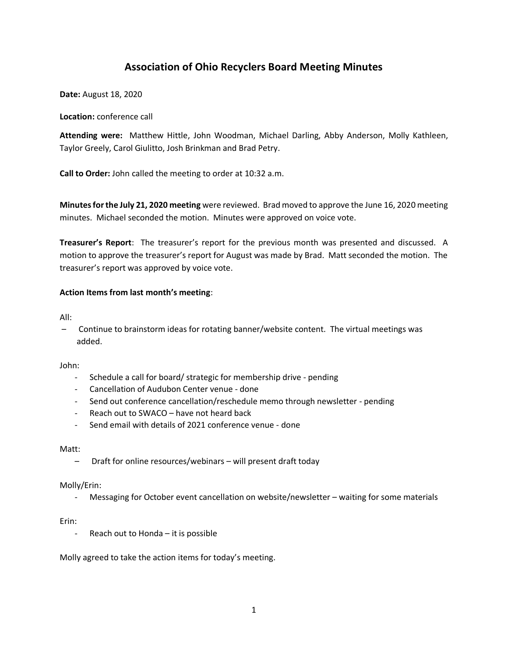# **Association of Ohio Recyclers Board Meeting Minutes**

**Date:** August 18, 2020

### **Location:** conference call

**Attending were:** Matthew Hittle, John Woodman, Michael Darling, Abby Anderson, Molly Kathleen, Taylor Greely, Carol Giulitto, Josh Brinkman and Brad Petry.

**Call to Order:** John called the meeting to order at 10:32 a.m.

**Minutes for the July 21, 2020 meeting** were reviewed. Brad moved to approve the June 16, 2020 meeting minutes. Michael seconded the motion. Minutes were approved on voice vote.

**Treasurer's Report**: The treasurer's report for the previous month was presented and discussed. A motion to approve the treasurer's report for August was made by Brad. Matt seconded the motion. The treasurer's report was approved by voice vote.

#### **Action Items from last month's meeting**:

All:

– Continue to brainstorm ideas for rotating banner/website content. The virtual meetings was added.

John:

- Schedule a call for board/ strategic for membership drive pending
- Cancellation of Audubon Center venue done
- Send out conference cancellation/reschedule memo through newsletter pending
- Reach out to SWACO have not heard back
- Send email with details of 2021 conference venue done

Matt:

– Draft for online resources/webinars – will present draft today

#### Molly/Erin:

Messaging for October event cancellation on website/newsletter – waiting for some materials

Erin:

Reach out to Honda  $-$  it is possible

Molly agreed to take the action items for today's meeting.